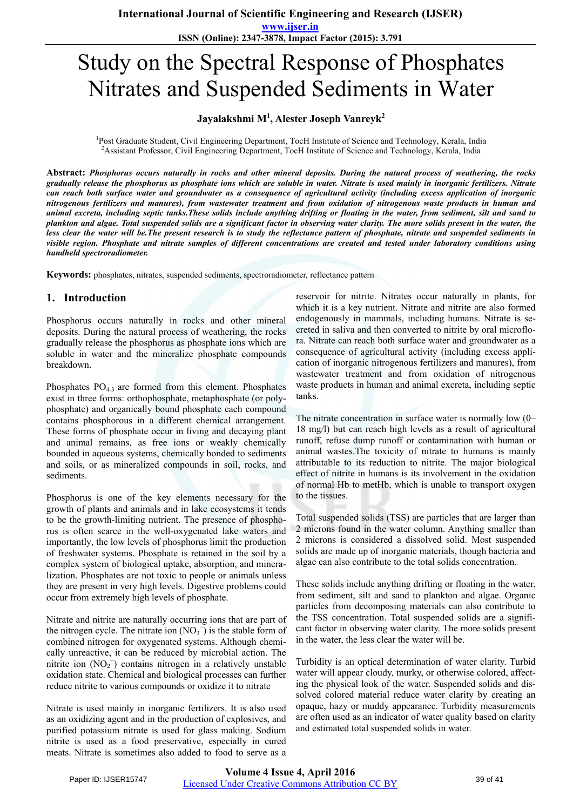# Study on the Spectral Response of Phosphates Nitrates and Suspended Sediments in Water

## **Jayalakshmi M<sup>1</sup> , Alester Joseph Vanreyk<sup>2</sup>**

<sup>1</sup>Post Graduate Student, Civil Engineering Department, TocH Institute of Science and Technology, Kerala, India 2 Assistant Professor, Civil Engineering Department, TocH Institute of Science and Technology, Kerala, India

**Abstract:** *Phosphorus occurs naturally in rocks and other mineral deposits. During the natural process of weathering, the rocks gradually release the phosphorus as phosphate ions which are soluble in water. Nitrate is used mainly in inorganic fertilizers. Nitrate can reach both surface water and groundwater as a consequence of agricultural activity (including excess application of inorganic nitrogenous fertilizers and manures), from wastewater treatment and from oxidation of nitrogenous waste products in human and animal excreta, including septic tanks.These solids include anything drifting or floating in the water, from sediment, silt and sand to plankton and algae. Total suspended solids are a significant factor in observing water clarity. The more solids present in the water, the less clear the water will be.The present research is to study the reflectance pattern of phosphate, nitrate and suspended sediments in visible region. Phosphate and nitrate samples of different concentrations are created and tested under laboratory conditions using handheld spectroradiometer.*

**Keywords:** phosphates, nitrates, suspended sediments, spectroradiometer, reflectance pattern

## **1. Introduction**

Phosphorus occurs naturally in rocks and other mineral deposits. During the natural process of weathering, the rocks gradually release the phosphorus as phosphate ions which are soluble in water and the mineralize phosphate compounds breakdown.

Phosphates  $PO_{4-3}$  are formed from this element. Phosphates exist in three forms: orthophosphate, metaphosphate (or polyphosphate) and organically bound phosphate each compound contains phosphorous in a different chemical arrangement. These forms of phosphate occur in living and decaying plant and animal remains, as free ions or weakly chemically bounded in aqueous systems, chemically bonded to sediments and soils, or as mineralized compounds in soil, rocks, and sediments.

Phosphorus is one of the key elements necessary for the growth of plants and animals and in lake ecosystems it tends to be the growth-limiting nutrient. The presence of phosphorus is often scarce in the well-oxygenated lake waters and importantly, the low levels of phosphorus limit the production of freshwater systems. Phosphate is retained in the soil by a complex system of biological uptake, absorption, and mineralization. Phosphates are not toxic to people or animals unless they are present in very high levels. Digestive problems could occur from extremely high levels of phosphate.

Nitrate and nitrite are naturally occurring ions that are part of the nitrogen cycle. The nitrate ion  $(NO_3)$  is the stable form of combined nitrogen for oxygenated systems. Although chemically unreactive, it can be reduced by microbial action. The nitrite ion  $(NO<sub>2</sub><sup>-</sup>)$  contains nitrogen in a relatively unstable oxidation state. Chemical and biological processes can further reduce nitrite to various compounds or oxidize it to nitrate

Nitrate is used mainly in inorganic fertilizers. It is also used as an oxidizing agent and in the production of explosives, and purified potassium nitrate is used for glass making. Sodium nitrite is used as a food preservative, especially in cured meats. Nitrate is sometimes also added to food to serve as a

reservoir for nitrite. Nitrates occur naturally in plants, for which it is a key nutrient. Nitrate and nitrite are also formed endogenously in mammals, including humans. Nitrate is secreted in saliva and then converted to nitrite by oral microflora. Nitrate can reach both surface water and groundwater as a consequence of agricultural activity (including excess application of inorganic nitrogenous fertilizers and manures), from wastewater treatment and from oxidation of nitrogenous waste products in human and animal excreta, including septic tanks.

The nitrate concentration in surface water is normally low (0– 18 mg/l) but can reach high levels as a result of agricultural runoff, refuse dump runoff or contamination with human or animal wastes.The toxicity of nitrate to humans is mainly attributable to its reduction to nitrite. The major biological effect of nitrite in humans is its involvement in the oxidation of normal Hb to metHb, which is unable to transport oxygen to the tissues.

Total suspended solids (TSS) are particles that are larger than 2 microns found in the water column. Anything smaller than 2 microns is considered a dissolved solid. Most suspended solids are made up of inorganic materials, though bacteria and algae can also contribute to the total solids concentration.

These solids include anything drifting or floating in the water, from sediment, silt and sand to plankton and algae. Organic particles from decomposing materials can also contribute to the TSS concentration. Total suspended solids are a significant factor in observing water clarity. The more solids present in the water, the less clear the water will be.

Turbidity is an optical determination of water clarity. Turbid water will appear cloudy, murky, or otherwise colored, affecting the physical look of the water. Suspended solids and dissolved colored material reduce water clarity by creating an opaque, hazy or muddy appearance. Turbidity measurements are often used as an indicator of water quality based on clarity and estimated total suspended solids in water.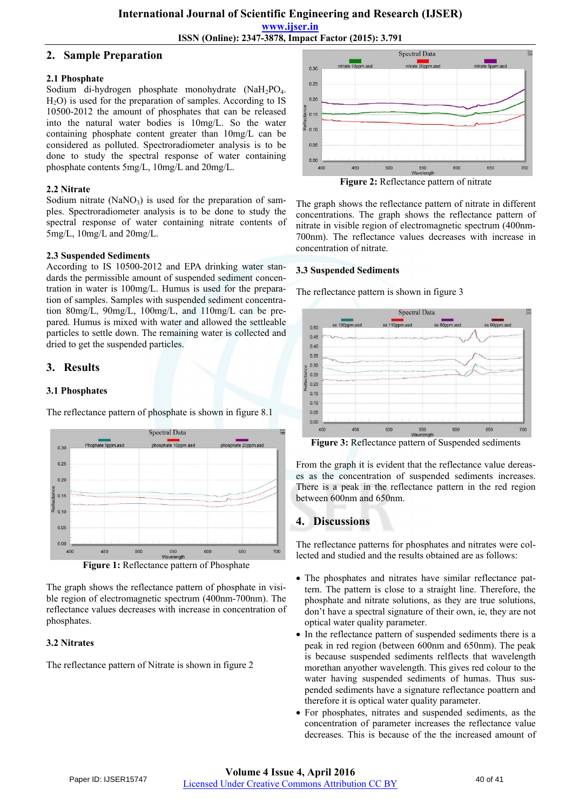## **International Journal of Scientific Engineering and Research (IJSER) www.ijser.in**

**ISSN (Online): 2347-3878, Impact Factor (2015): 3.791**

## **2. Sample Preparation**

#### **2.1 Phosphate**

Sodium di-hydrogen phosphate monohydrate (NaH2PO4.  $H<sub>2</sub>O$ ) is used for the preparation of samples. According to IS 10500-2012 the amount of phosphates that can be released into the natural water bodies is 10mg/L. So the water containing phosphate content greater than 10mg/L can be considered as polluted. Spectroradiometer analysis is to be done to study the spectral response of water containing phosphate contents 5mg/L, 10mg/L and 20mg/L.

#### **2.2 Nitrate**

Sodium nitrate  $(NaNO<sub>3</sub>)$  is used for the preparation of samples. Spectroradiometer analysis is to be done to study the spectral response of water containing nitrate contents of 5mg/L, 10mg/L and 20mg/L.

#### **2.3 Suspended Sediments**

According to IS 10500-2012 and EPA drinking water standards the permissible amount of suspended sediment concentration in water is 100mg/L. Humus is used for the preparation of samples. Samples with suspended sediment concentration 80mg/L, 90mg/L, 100mg/L, and 110mg/L can be prepared. Humus is mixed with water and allowed the settleable particles to settle down. The remaining water is collected and dried to get the suspended particles.

## **3. Results**

#### **3.1 Phosphates**

The reflectance pattern of phosphate is shown in figure 8.1



**Figure 1:** Reflectance pattern of Phosphate

The graph shows the reflectance pattern of phosphate in visible region of electromagnetic spectrum (400nm-700nm). The reflectance values decreases with increase in concentration of phosphates.

## **3.2 Nitrates**

The reflectance pattern of Nitrate is shown in figure 2



**Figure 2:** Reflectance pattern of nitrate

The graph shows the reflectance pattern of nitrate in different concentrations. The graph shows the reflectance pattern of nitrate in visible region of electromagnetic spectrum (400nm-700nm). The reflectance values decreases with increase in concentration of nitrate.

#### **3.3 Suspended Sediments**

The reflectance pattern is shown in figure 3



**Figure 3:** Reflectance pattern of Suspended sediments

From the graph it is evident that the reflectance value dereases as the concentration of suspended sediments increases. There is a peak in the reflectance pattern in the red region between 600nm and 650nm.

## **4. Discussions**

The reflectance patterns for phosphates and nitrates were collected and studied and the results obtained are as follows:

- The phosphates and nitrates have similar reflectance pattern. The pattern is close to a straight line. Therefore, the phosphate and nitrate solutions, as they are true solutions, don't have a spectral signature of their own, ie, they are not optical water quality parameter.
- In the reflectance pattern of suspended sediments there is a peak in red region (between 600nm and 650nm). The peak is because suspended sediments relflects that wavelength morethan anyother wavelength. This gives red colour to the water having suspended sediments of humas. Thus suspended sediments have a signature reflectance poattern and therefore it is optical water quality parameter.
- For phosphates, nitrates and suspended sediments, as the concentration of parameter increases the reflectance value decreases. This is because of the the increased amount of